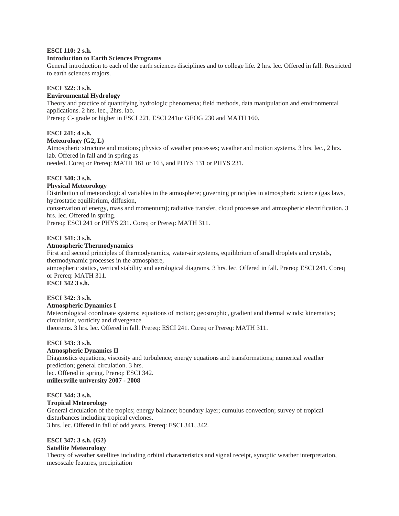#### **ESCI 110: 2 s.h.**

#### **Introduction to Earth Sciences Programs**

General introduction to each of the earth sciences disciplines and to college life. 2 hrs. lec. Offered in fall. Restricted to earth sciences majors.

## **ESCI 322: 3 s.h.**

#### **Environmental Hydrology**

Theory and practice of quantifying hydrologic phenomena; field methods, data manipulation and environmental applications. 2 hrs. lec., 2hrs. lab. Prereq: C- grade or higher in ESCI 221, ESCI 241or GEOG 230 and MATH 160.

## **ESCI 241: 4 s.h.**

#### **Meteorology (G2, L)**

Atmospheric structure and motions; physics of weather processes; weather and motion systems. 3 hrs. lec., 2 hrs. lab. Offered in fall and in spring as needed. Coreq or Prereq: MATH 161 or 163, and PHYS 131 or PHYS 231.

## **ESCI 340: 3 s.h.**

#### **Physical Meteorology**

Distribution of meteorological variables in the atmosphere; governing principles in atmospheric science (gas laws, hydrostatic equilibrium, diffusion,

conservation of energy, mass and momentum); radiative transfer, cloud processes and atmospheric electrification. 3 hrs. lec. Offered in spring.

Prereq: ESCI 241 or PHYS 231. Coreq or Prereq: MATH 311.

#### **ESCI 341: 3 s.h.**

#### **Atmospheric Thermodynamics**

First and second principles of thermodynamics, water-air systems, equilibrium of small droplets and crystals, thermodynamic processes in the atmosphere,

atmospheric statics, vertical stability and aerological diagrams. 3 hrs. lec. Offered in fall. Prereq: ESCI 241. Coreq or Prereq: MATH 311.

**ESCI 342 3 s.h.** 

## **ESCI 342: 3 s.h.**

**Atmospheric Dynamics I**  Meteorological coordinate systems; equations of motion; geostrophic, gradient and thermal winds; kinematics;

circulation, vorticity and divergence

theorems. 3 hrs. lec. Offered in fall. Prereq: ESCI 241. Coreq or Prereq: MATH 311.

#### **ESCI 343: 3 s.h.**

## **Atmospheric Dynamics II**

Diagnostics equations, viscosity and turbulence; energy equations and transformations; numerical weather prediction; general circulation. 3 hrs. lec. Offered in spring. Prereq: ESCI 342. **millersville university 2007 - 2008** 

## **ESCI 344: 3 s.h.**

## **Tropical Meteorology**

General circulation of the tropics; energy balance; boundary layer; cumulus convection; survey of tropical disturbances including tropical cyclones. 3 hrs. lec. Offered in fall of odd years. Prereq: ESCI 341, 342.

## **ESCI 347: 3 s.h. (G2)**

## **Satellite Meteorology**

Theory of weather satellites including orbital characteristics and signal receipt, synoptic weather interpretation, mesoscale features, precipitation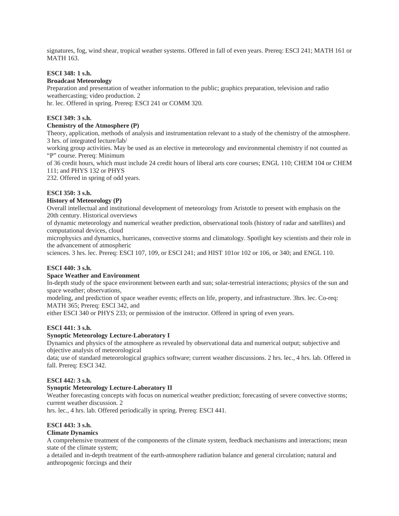signatures, fog, wind shear, tropical weather systems. Offered in fall of even years. Prereq: ESCI 241; MATH 161 or MATH 163.

#### **ESCI 348: 1 s.h.**

#### **Broadcast Meteorology**

Preparation and presentation of weather information to the public; graphics preparation, television and radio weathercasting; video production. 2

hr. lec. Offered in spring. Prereq: ESCI 241 or COMM 320.

## **ESCI 349: 3 s.h.**

#### **Chemistry of the Atmosphere (P)**

Theory, application, methods of analysis and instrumentation relevant to a study of the chemistry of the atmosphere. 3 hrs. of integrated lecture/lab/

working group activities. May be used as an elective in meteorology and environmental chemistry if not counted as "P" course. Prereq: Minimum

of 36 credit hours, which must include 24 credit hours of liberal arts core courses; ENGL 110; CHEM 104 or CHEM 111; and PHYS 132 or PHYS

232. Offered in spring of odd years.

## **ESCI 350: 3 s.h.**

#### **History of Meteorology (P)**

Overall intellectual and institutional development of meteorology from Aristotle to present with emphasis on the 20th century. Historical overviews

of dynamic meteorology and numerical weather prediction, observational tools (history of radar and satellites) and computational devices, cloud

microphysics and dynamics, hurricanes, convective storms and climatology. Spotlight key scientists and their role in the advancement of atmospheric

sciences. 3 hrs. lec. Prereq: ESCI 107, 109, or ESCI 241; and HIST 101or 102 or 106, or 340; and ENGL 110.

## **ESCI 440: 3 s.h.**

## **Space Weather and Environment**

In-depth study of the space environment between earth and sun; solar-terrestrial interactions; physics of the sun and space weather; observations,

modeling, and prediction of space weather events; effects on life, property, and infrastructure. 3hrs. lec. Co-req: MATH 365; Prereq: ESCI 342, and

either ESCI 340 or PHYS 233; or permission of the instructor. Offered in spring of even years.

## **ESCI 441: 3 s.h.**

#### **Synoptic Meteorology Lecture-Laboratory I**

Dynamics and physics of the atmosphere as revealed by observational data and numerical output; subjective and objective analysis of meteorological

data; use of standard meteorological graphics software; current weather discussions. 2 hrs. lec., 4 hrs. lab. Offered in fall. Prereq: ESCI 342.

#### **ESCI 442: 3 s.h.**

#### **Synoptic Meteorology Lecture-Laboratory II**

Weather forecasting concepts with focus on numerical weather prediction; forecasting of severe convective storms; current weather discussion. 2

hrs. lec., 4 hrs. lab. Offered periodically in spring. Prereq: ESCI 441.

#### **ESCI 443: 3 s.h.**

#### **Climate Dynamics**

A comprehensive treatment of the components of the climate system, feedback mechanisms and interactions; mean state of the climate system;

a detailed and in-depth treatment of the earth-atmosphere radiation balance and general circulation; natural and anthropogenic forcings and their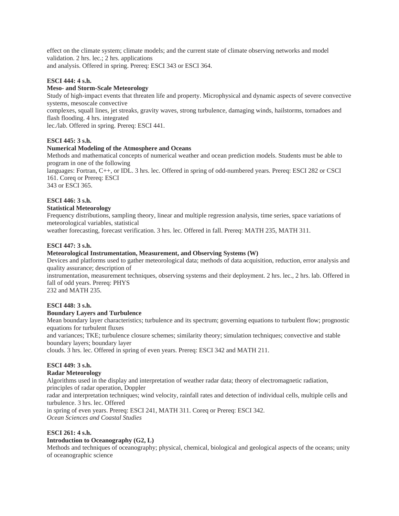effect on the climate system; climate models; and the current state of climate observing networks and model validation. 2 hrs. lec.; 2 hrs. applications and analysis. Offered in spring. Prereq: ESCI 343 or ESCI 364.

## **ESCI 444: 4 s.h.**

## **Meso- and Storm-Scale Meteorology**

Study of high-impact events that threaten life and property. Microphysical and dynamic aspects of severe convective systems, mesoscale convective

complexes, squall lines, jet streaks, gravity waves, strong turbulence, damaging winds, hailstorms, tornadoes and flash flooding. 4 hrs. integrated

lec./lab. Offered in spring. Prereq: ESCI 441.

#### **ESCI 445: 3 s.h.**

## **Numerical Modeling of the Atmosphere and Oceans**

Methods and mathematical concepts of numerical weather and ocean prediction models. Students must be able to program in one of the following

languages: Fortran, C++, or IDL. 3 hrs. lec. Offered in spring of odd-numbered years. Prereq: ESCI 282 or CSCI 161. Coreq or Prereq: ESCI

343 or ESCI 365.

## **ESCI 446: 3 s.h.**

#### **Statistical Meteorology**

Frequency distributions, sampling theory, linear and multiple regression analysis, time series, space variations of meteorological variables, statistical

weather forecasting, forecast verification. 3 hrs. lec. Offered in fall. Prereq: MATH 235, MATH 311.

#### **ESCI 447: 3 s.h.**

#### **Meteorological Instrumentation, Measurement, and Observing Systems (W)**

Devices and platforms used to gather meteorological data; methods of data acquisition, reduction, error analysis and quality assurance; description of

instrumentation, measurement techniques, observing systems and their deployment. 2 hrs. lec., 2 hrs. lab. Offered in fall of odd years. Prereq: PHYS

232 and MATH 235.

#### **ESCI 448: 3 s.h.**

#### **Boundary Layers and Turbulence**

Mean boundary layer characteristics; turbulence and its spectrum; governing equations to turbulent flow; prognostic equations for turbulent fluxes

and variances; TKE; turbulence closure schemes; similarity theory; simulation techniques; convective and stable boundary layers; boundary layer

clouds. 3 hrs. lec. Offered in spring of even years. Prereq: ESCI 342 and MATH 211.

## **ESCI 449: 3 s.h.**

#### **Radar Meteorology**

Algorithms used in the display and interpretation of weather radar data; theory of electromagnetic radiation, principles of radar operation, Doppler radar and interpretation techniques; wind velocity, rainfall rates and detection of individual cells, multiple cells and turbulence. 3 hrs. lec. Offered in spring of even years. Prereq: ESCI 241, MATH 311. Coreq or Prereq: ESCI 342.

*Ocean Sciences and Coastal Studies* 

#### **ESCI 261: 4 s.h.**

#### **Introduction to Oceanography (G2, L)**

Methods and techniques of oceanography; physical, chemical, biological and geological aspects of the oceans; unity of oceanographic science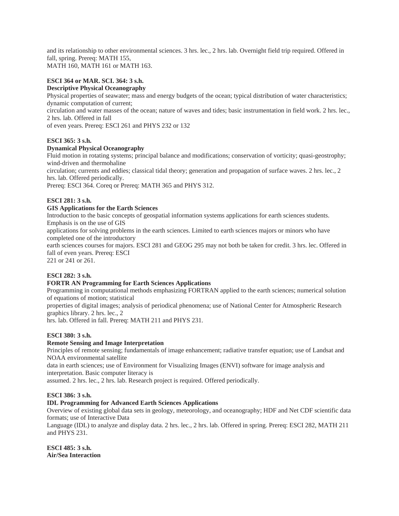and its relationship to other environmental sciences. 3 hrs. lec., 2 hrs. lab. Overnight field trip required. Offered in fall, spring. Prereq: MATH 155, MATH 160, MATH 161 or MATH 163.

# **ESCI 364 or MAR. SCI. 364: 3 s.h.**

## **Descriptive Physical Oceanography**

Physical properties of seawater; mass and energy budgets of the ocean; typical distribution of water characteristics; dynamic computation of current; circulation and water masses of the ocean; nature of waves and tides; basic instrumentation in field work. 2 hrs. lec., 2 hrs. lab. Offered in fall

of even years. Prereq: ESCI 261 and PHYS 232 or 132

## **ESCI 365: 3 s.h.**

## **Dynamical Physical Oceanography**

Fluid motion in rotating systems; principal balance and modifications; conservation of vorticity; quasi-geostrophy; wind-driven and thermohaline

circulation; currents and eddies; classical tidal theory; generation and propagation of surface waves. 2 hrs. lec., 2 hrs. lab. Offered periodically.

Prereq: ESCI 364. Coreq or Prereq: MATH 365 and PHYS 312.

## **ESCI 281: 3 s.h.**

## **GIS Applications for the Earth Sciences**

Introduction to the basic concepts of geospatial information systems applications for earth sciences students. Emphasis is on the use of GIS

applications for solving problems in the earth sciences. Limited to earth sciences majors or minors who have completed one of the introductory

earth sciences courses for majors. ESCI 281 and GEOG 295 may not both be taken for credit. 3 hrs. lec. Offered in fall of even years. Prereq: ESCI

221 or 241 or 261.

## **ESCI 282: 3 s.h.**

## **FORTR AN Programming for Earth Sciences Applications**

Programming in computational methods emphasizing FORTRAN applied to the earth sciences; numerical solution of equations of motion; statistical

properties of digital images; analysis of periodical phenomena; use of National Center for Atmospheric Research graphics library. 2 hrs. lec., 2

hrs. lab. Offered in fall. Prereq: MATH 211 and PHYS 231.

## **ESCI 380: 3 s.h.**

## **Remote Sensing and Image Interpretation**

Principles of remote sensing; fundamentals of image enhancement; radiative transfer equation; use of Landsat and NOAA environmental satellite

data in earth sciences; use of Environment for Visualizing Images (ENVI) software for image analysis and interpretation. Basic computer literacy is

assumed. 2 hrs. lec., 2 hrs. lab. Research project is required. Offered periodically.

## **ESCI 386: 3 s.h.**

## **IDL Programming for Advanced Earth Sciences Applications**

Overview of existing global data sets in geology, meteorology, and oceanography; HDF and Net CDF scientific data formats; use of Interactive Data

Language (IDL) to analyze and display data. 2 hrs. lec., 2 hrs. lab. Offered in spring. Prereq: ESCI 282, MATH 211 and PHYS 231.

**ESCI 485: 3 s.h. Air/Sea Interaction**